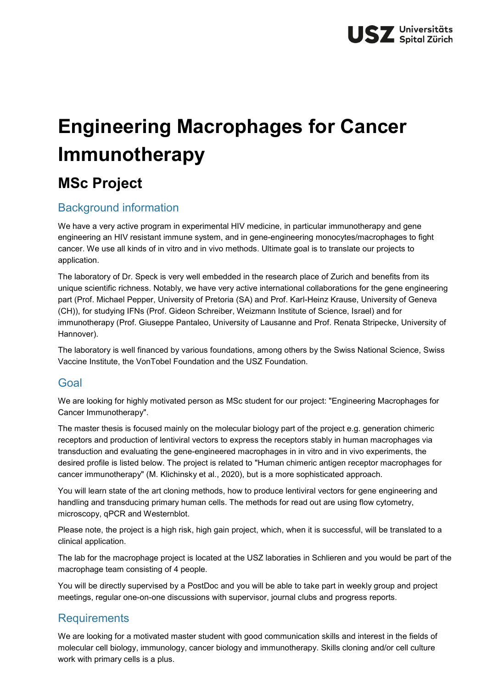# **Engineering Macrophages for Cancer Immunotherapy**

# **MSc Project**

# Background information

We have a very active program in experimental HIV medicine, in particular immunotherapy and gene engineering an HIV resistant immune system, and in gene-engineering monocytes/macrophages to fight cancer. We use all kinds of in vitro and in vivo methods. Ultimate goal is to translate our projects to application.

The laboratory of Dr. Speck is very well embedded in the research place of Zurich and benefits from its unique scientific richness. Notably, we have very active international collaborations for the gene engineering part (Prof. Michael Pepper, University of Pretoria (SA) and Prof. Karl-Heinz Krause, University of Geneva (CH)), for studying IFNs (Prof. Gideon Schreiber, Weizmann Institute of Science, Israel) and for immunotherapy (Prof. Giuseppe Pantaleo, University of Lausanne and Prof. Renata Stripecke, University of Hannover).

The laboratory is well financed by various foundations, among others by the Swiss National Science, Swiss Vaccine Institute, the VonTobel Foundation and the USZ Foundation.

#### Goal

We are looking for highly motivated person as MSc student for our project: "Engineering Macrophages for Cancer Immunotherapy".

The master thesis is focused mainly on the molecular biology part of the project e.g. generation chimeric receptors and production of lentiviral vectors to express the receptors stably in human macrophages via transduction and evaluating the gene-engineered macrophages in in vitro and in vivo experiments, the desired profile is listed below. The project is related to "Human chimeric antigen receptor macrophages for cancer immunotherapy" (M. Klichinsky et al., 2020), but is a more sophisticated approach.

You will learn state of the art cloning methods, how to produce lentiviral vectors for gene engineering and handling and transducing primary human cells. The methods for read out are using flow cytometry, microscopy, qPCR and Westernblot.

Please note, the project is a high risk, high gain project, which, when it is successful, will be translated to a clinical application.

The lab for the macrophage project is located at the USZ laboraties in Schlieren and you would be part of the macrophage team consisting of 4 people.

You will be directly supervised by a PostDoc and you will be able to take part in weekly group and project meetings, regular one-on-one discussions with supervisor, journal clubs and progress reports.

## **Requirements**

We are looking for a motivated master student with good communication skills and interest in the fields of molecular cell biology, immunology, cancer biology and immunotherapy. Skills cloning and/or cell culture work with primary cells is a plus.